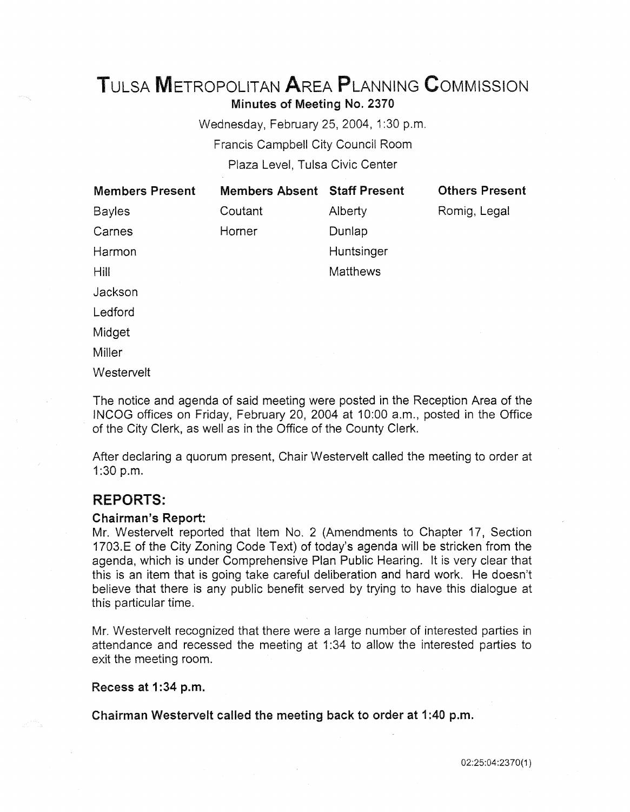# TuLSA METROPOLITAN AREA PLANNING CoMMISSION Minutes of Meeting No. 2370

Wednesday, February 25, 2004, 1:30 p.m. Francis Campbell City Council Room Plaza Level, Tulsa Civic Center

| <b>Members Present</b> | <b>Members Absent Staff Present</b> |                 | <b>Others Present</b> |
|------------------------|-------------------------------------|-----------------|-----------------------|
| <b>Bayles</b>          | Coutant                             | Alberty         | Romig, Legal          |
| Carnes                 | Horner                              | Dunlap          |                       |
| Harmon                 |                                     | Huntsinger      |                       |
| Hill                   |                                     | <b>Matthews</b> |                       |
| Jackson                |                                     |                 |                       |
| Ledford                |                                     |                 |                       |
| Midget                 |                                     |                 |                       |
| Miller                 |                                     |                 |                       |
| Westervelt             |                                     |                 |                       |

The notice and agenda of said meeting were posted in the Reception Area of the IN COG offices on Friday, February 20, 2004 at 10:00 a.m., posted in the Office of the City Clerk, as well as in the Office of the County Clerk.

After declaring a quorum present, Chair Westervelt called the meeting to order at 1:30 p.m.

# REPORTS:

#### Chairman's Report:

Mr. Westervelt reported that Item No. 2 (Amendments to Chapter 17, Section 1703.E of the City Zoning Code Text) of today's agenda will be stricken from the agenda, which is under Comprehensive Plan Public Hearing. It is very clear that this is an item that is going take careful deliberation and hard work. He doesn't believe that there is any public benefit served by trying to have this dialogue at this particular time.

Mr. Westervelt recognized that there were a large number of interested parties in attendance and recessed the meeting at 1 :34 to allow the interested parties to exit the meeting room.

Recess at 1:34 p.m.

Chairman Westervelt called the meeting back to order at 1 :40 p.m.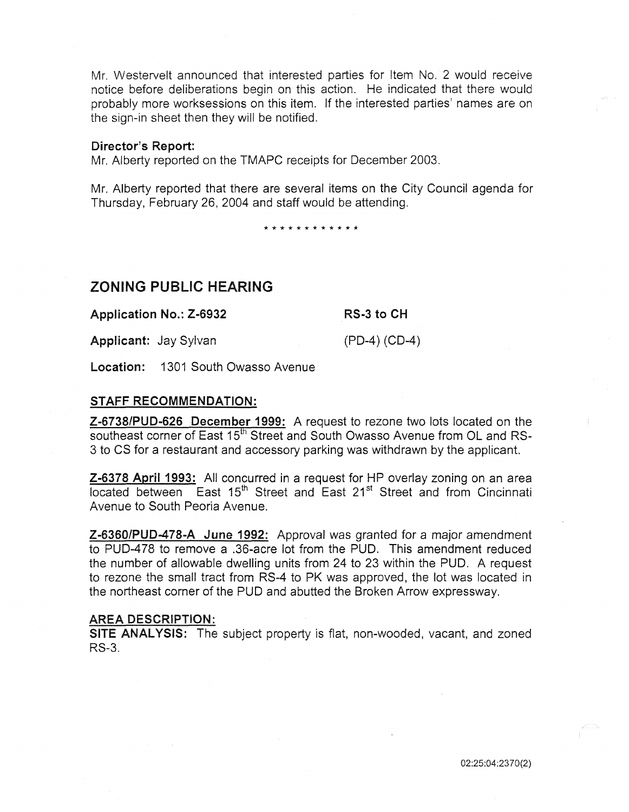Mr. Westervelt announced that interested parties for Item No. 2 would receive notice before deliberations begin on this action. He indicated that there would probably more worksessions on this item. If the interested parties' names are on the sign-in sheet then they will be notified.

#### Director's Report:

Mr. Alberty reported on the TMAPC receipts for December 2003.

Mr. Alberty reported that there are several items on the City Council agenda for Thursday, February 26, 2004 and staff would be attending.

\* \* \* \* \* \* \* \* \* \* \* \*

# ZONING PUBLIC HEARING

Application No.: Z-6932

RS-3 to CH

Applicant: Jay Sylvan

(PD-4) (CD-4)

Location: 1301 South Owasso Avenue

#### STAFF RECOMMENDATION:

Z-6738/PUD-626 December 1999: A request to rezone two lots located on the southeast corner of East 15<sup>th</sup> Street and South Owasso Avenue from OL and RS-3 to CS for a restaurant and accessory parking was withdrawn by the applicant.

Z-6378 April 1993: All concurred in a request for HP overlay zoning on an area located between East 15<sup>th</sup> Street and East 21<sup>st</sup> Street and from Cincinnati Avenue to South Peoria Avenue.

Z-6360/PUD-478-A June 1992: Approval was granted for a major amendment to PUD-478 to remove a .36-acre lot from the PUD. This amendment reduced the number of allowable dwelling units from 24 to 23 within the PUD. A request to rezone the small tract from RS-4 to PK was approved, the lot was located in the northeast corner of the PUD and abutted the Broken Arrow expressway.

#### AREA DESCRIPTION:

SITE ANALYSIS: The subject property is flat, non-wooded, vacant, and zoned RS-3.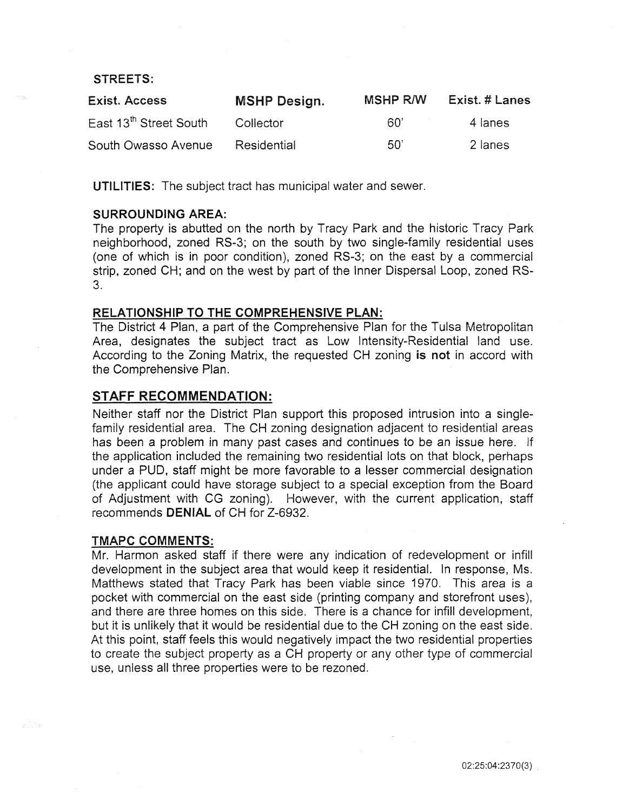#### STREETS:

| <b>Exist. Access</b>               | <b>MSHP Design.</b> | <b>MSHP R/W</b> | Exist. # Lanes |
|------------------------------------|---------------------|-----------------|----------------|
| East 13 <sup>th</sup> Street South | Collector           | .60'            | 4 lanes        |
| South Owasso Avenue                | Residential         | .50'            | 2 lanes        |

UTILITIES: The subject tract has municipal water and sewer.

### SURROUNDING AREA:

The property is abutted on the north by Tracy Park and the historic Tracy Park neighborhood, zoned RS-3; on the south by two single-family residential uses (one of which is in poor condition), zoned RS-3; on the east by a commercial strip, zoned CH; and on the west by part of the Inner Dispersal Loop, zoned RS-3.

### RELATIONSHIP TO THE COMPREHENSIVE PLAN:

The District 4 Plan, a part of the Comprehensive Plan for the Tulsa Metropolitan Area, designates the subject tract as Low Intensity-Residential land use. According to the Zoning Matrix, the requested CH zoning is not in accord with the Comprehensive Plan.

# STAFF RECOMMENDATION:

Neither staff nor the District Plan support this proposed intrusion into a singlefamily residential area. The CH zoning designation adjacent to residential areas has been a problem in many past cases and continues to be an issue here. If the application included the remaining two residential lots on that block, perhaps under a PUD, staff might be more favorable to a lesser commercial designation (the applicant could have storage subject to a special exception from the Board of Adjustment with CG zoning). However, with the current application, staff recommends DENIAL of CH for Z-6932.

#### TMAPC COMMENTS:

Mr. Harmon asked staff if there were any indication of redevelopment or infill development in the subject area that would keep it residential. In response, Ms. Matthews stated that Tracy Park has been viable since 1970. This area is a pocket with commercial on the east side (printing company and storefront uses), and there are three homes on this side. There is a chance for infill development, but it is unlikely that it would be residential due to the CH zoning on the east side. At this point, staff feels this would negatively impact the two residential properties to create the subject property as a CH property or any other type of commercial use, unless all three properties were to be rezoned.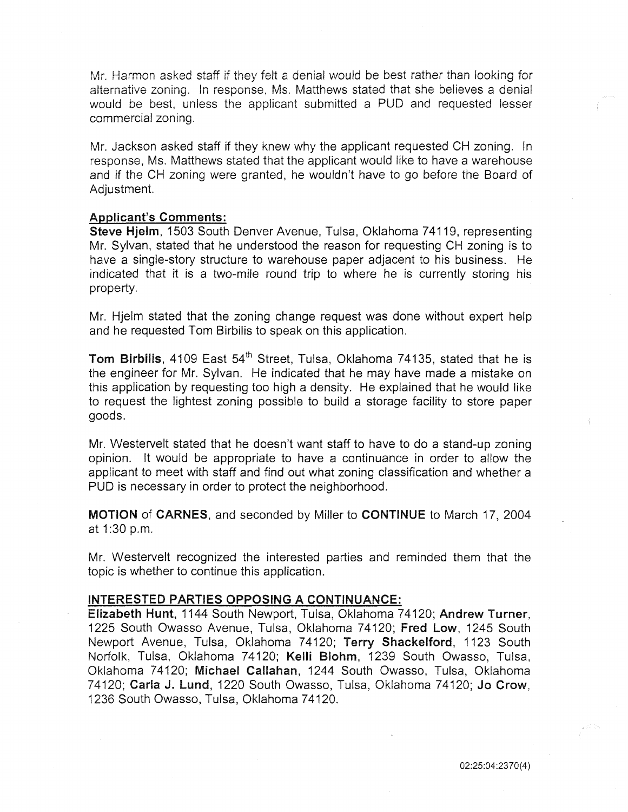Mr. Harmon asked staff if they felt a denial would be best rather than looking for alternative zoning. In response, Ms. Matthews stated that she believes a denial would be best, unless the applicant submitted a PUD and requested lesser commercial zoning.

Mr. Jackson asked staff if they knew why the applicant requested CH zoning. In response, Ms. Matthews stated that the applicant would like to have a warehouse and if the CH zoning were granted, he wouldn't have to go before the Board of Adjustment.

#### Applicant's Comments:

Steve Hjelm, 1503 South Denver Avenue, Tulsa, Oklahoma 74119, representing Mr. Sylvan, stated that he understood the reason for requesting CH zoning is to have a single-story structure to warehouse paper adjacent to his business. He indicated that it is a two-mile round trip to where he is currently storing his property.

Mr. Hjelm stated that the zoning change request was done without expert help and he requested Tom Birbilis to speak on this application.

Tom Birbilis, 4109 East 54<sup>th</sup> Street, Tulsa, Oklahoma 74135, stated that he is the engineer for Mr. Sylvan. He indicated that he may have made a mistake on this application by requesting too high a density. He explained that he would like to request the lightest zoning possible to build a storage facility to store paper goods.

Mr. Westervelt stated that he doesn't want staff to have to do a stand-up zoning opinion. It would be appropriate to have a continuance in order to allow the applicant to meet with staff and find out what zoning classification and whether a PUD is necessary in order to protect the neighborhood.

MOTION of CARNES, and seconded by Miller to CONTINUE to March 17, 2004 at 1:30 p.m.

Mr. Westervelt recognized the interested parties and reminded them that the topic is whether to continue this application.

#### INTERESTED PARTIES OPPOSING A CONTINUANCE:

Elizabeth Hunt, 1144 South Newport, Tulsa, Oklahoma 74120; Andrew Turner, 1225 South Owasso Avenue, Tulsa, Oklahoma 74120; Fred Low, 1245 South Newport Avenue, Tulsa, Oklahoma 74120; Terry Shackelford, 1123 South Norfolk, Tulsa, Oklahoma 74120; Kelli Blohm, 1239 South Owasso, Tulsa, Oklahoma 74120; Michael Callahan, 1244 South Owasso, Tulsa, Oklahoma 74120; Carla J. Lund, 1220 South Owasso, Tulsa, Oklahoma 74120; Jo Crow, 1236 South Owasso, Tulsa, Oklahoma 74120.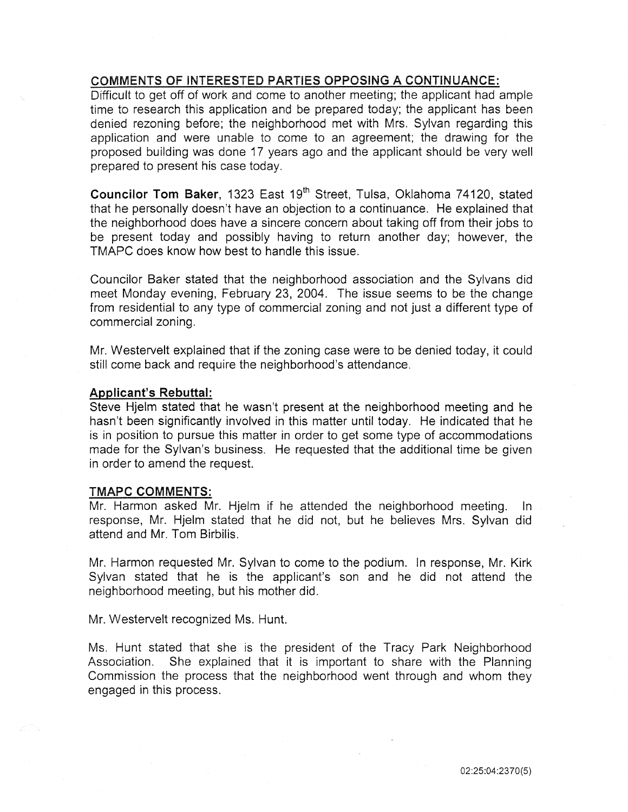# COMMENTS OF INTERESTED PARTIES OPPOSING A CONTINUANCE:

Difficult to get off of work and come to another meeting; the applicant had ample time to research this application and be prepared today; the applicant has been denied rezoning before; the neighborhood met with Mrs. Sylvan regarding this application and were unable to come to an agreement; the drawing for the proposed building was done 17 years ago and the applicant should be very well prepared to present his case today.

Councilor Tom Baker, 1323 East 19<sup>th</sup> Street, Tulsa, Oklahoma 74120, stated that he personally doesn't have an objection to a continuance. He explained that the neighborhood does have a sincere concern about taking off from their jobs to be present today and possibly having to return another day; however, the TMAPC does know how best to handle this issue.

Councilor Baker stated that the neighborhood association and the Sylvans did meet Monday evening, February 23, 2004. The issue seems to be the change from residential to any type of commercial zoning and not just a different type of commercial zoning.

Mr. Westervelt explained that if the zoning case were to be denied today, it could still come back and require the neighborhood's attendance.

#### Applicant's Rebuttal:

Steve Hjelm stated that he wasn't present at the neighborhood meeting and he hasn't been significantly involved in this matter until today. He indicated that he is in position to pursue this matter in order to get some type of accommodations made for the Sylvan's business. He requested that the additional time be given in order to amend the request.

#### TMAPC COMMENTS:

Mr. Harmon asked Mr. Hjelm if he attended the neighborhood meeting. In response, Mr. Hjelm stated that he did not, but he believes Mrs. Sylvan did attend and Mr. Tom Birbilis.

Mr. Harmon requested Mr. Sylvan to come to the podium. In response, Mr. Kirk Sylvan stated that he is the applicant's son and he did not attend the neighborhood meeting, but his mother did.

Mr. Westervelt recognized Ms. Hunt.

Ms. Hunt stated that she is the president of the Tracy Park Neighborhood Association. She explained that it is important to share with the Planning Commission the process that the neighborhood went through and whom they engaged in this process.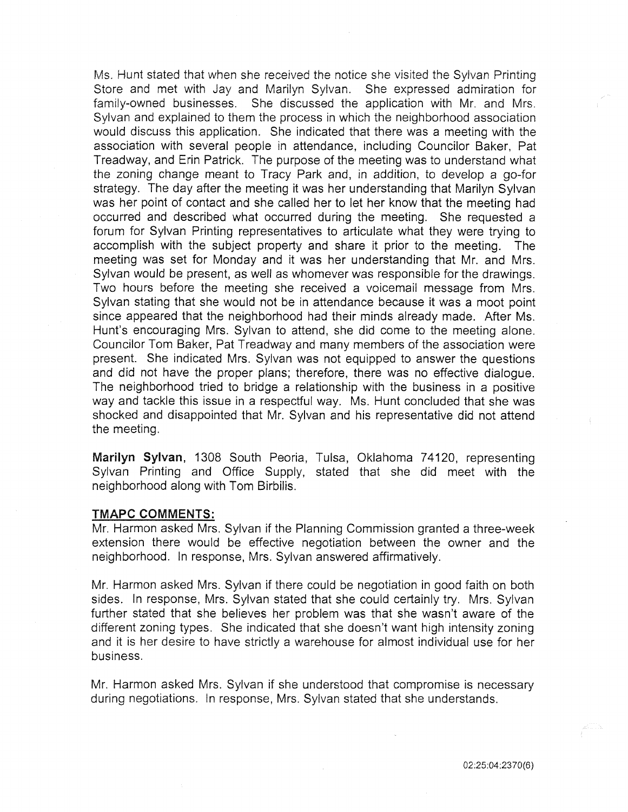Ms. Hunt stated that when she received the notice she visited the Sylvan Printing Store and met with Jay and Marilyn Sylvan. She expressed admiration for family-owned businesses. She discussed the application with Mr. and Mrs. Sylvan and explained to them the process in which the neighborhood association would discuss this application. She indicated that there was a meeting with the association with several people in attendance, including Councilor Baker, Pat Treadway, and Erin Patrick. The purpose of the meeting was to understand what the zoning change meant to Tracy Park and, in addition, to develop a go-for strategy. The day after the meeting it was her understanding that Marilyn Sylvan was her point of contact and she called her to let her know that the meeting had occurred and described what occurred during the meeting. She requested a forum for Sylvan Printing representatives to articulate what they were trying to accomplish with the subject property and share it prior to the meeting. The meeting was set for Monday and it was her understanding that Mr. and Mrs. Sylvan would be present, as well as whomever was responsible for the drawings. Two hours before the meeting she received a voicemail message from Mrs. Sylvan stating that she would not be in attendance because it was a moot point since appeared that the neighborhood had their minds already made. After Ms. Hunt's encouraging Mrs. Sylvan to attend, she did come to the meeting alone. Councilor Tom Baker, Pat Treadway and many members of the association were present. She indicated Mrs. Sylvan was not equipped to answer the questions and did not have the proper plans; therefore, there was no effective dialogue. The neighborhood tried to bridge a relationship with the business in a positive way and tackle this issue in a respectful way. Ms. Hunt concluded that she was shocked and disappointed that Mr. Sylvan and his representative did not attend the meeting.

Marilyn Sylvan, 1308 South Peoria, Tulsa, Oklahoma 74120, representing Sylvan Printing and Office Supply, stated that she did meet with the neighborhood along with Tom Birbilis.

#### TMAPC COMMENTS:

Mr. Harmon asked Mrs. Sylvan if the Planning Commission granted a three-week extension there would be effective negotiation between the owner and the neighborhood. In response, Mrs. Sylvan answered affirmatively.

Mr. Harmon asked Mrs. Sylvan if there could be negotiation in good faith on both sides. In response, Mrs. Sylvan stated that she could certainly try. Mrs. Sylvan further stated that she believes her problem was that she wasn't aware of the different zoning types. She indicated that she doesn't want high intensity zoning and it is her desire to have strictly a warehouse for almost individual use for her business.

Mr. Harmon asked Mrs. Sylvan if she understood that compromise is necessary during negotiations. In response, Mrs. Sylvan stated that she understands.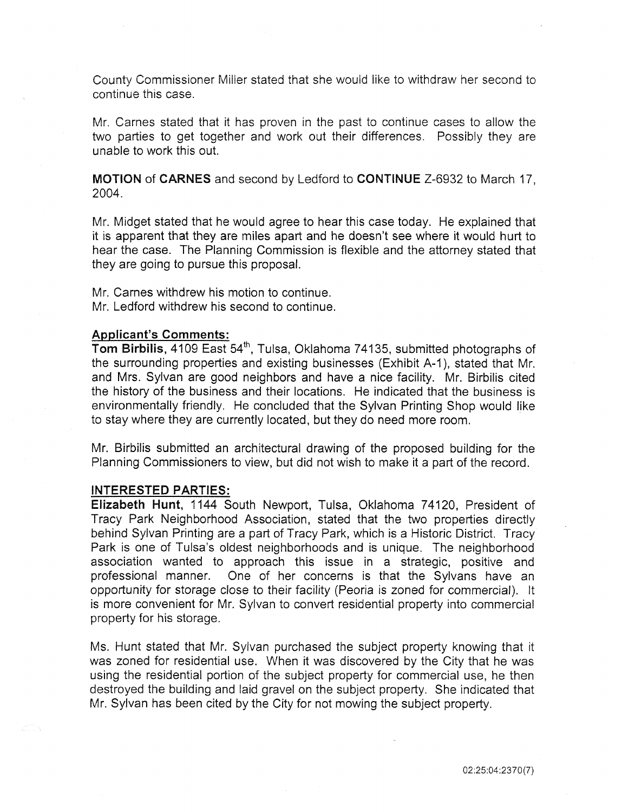County Commissioner Miller stated that she would like to withdraw her second to continue this case.

Mr. Carnes stated that it has proven in the past to continue cases to allow the two parties to get together and work out their differences. Possibly they are unable to work this out.

MOTION of CARNES and second by Ledford to CONTINUE Z-6932 to March 17, 2004.

Mr. Midget stated that he would agree to hear this case today. He explained that it is apparent that they are miles apart and he doesn't see where it would hurt to hear the case. The Planning Commission is flexible and the attorney stated that they are going to pursue this proposal.

Mr. Carnes withdrew his motion to continue. Mr. Ledford withdrew his second to continue.

#### Applicant's Comments:

Tom Birbilis, 4109 East 54<sup>th</sup>, Tulsa, Oklahoma 74135, submitted photographs of the surrounding properties and existing businesses (Exhibit A-1 ), stated that Mr. and Mrs. Sylvan are good neighbors and have a nice facility. Mr. Birbilis cited the history of the business and their locations. He indicated that the business is environmentally friendly. He concluded that the Sylvan Printing Shop would like to stay where they are currently located, but they do need more room.

Mr. Birbilis submitted an architectural drawing of the proposed building for the Planning Commissioners to view, but did not wish to make it a part of the record.

#### INTERESTED PARTIES:

Elizabeth Hunt, 1144 South Newport, Tulsa, Oklahoma 74120, President of Tracy Park Neighborhood Association, stated that the two properties directly behind Sylvan Printing are a part of Tracy Park, which is a Historic District. Tracy Park is one of Tulsa's oldest neighborhoods and is unique. The neighborhood association wanted to approach this issue in a strategic, positive and professional manner. One of her concerns is that the Sylvans have an opportunity for storage close to their facility (Peoria is zoned for commercial). It is more convenient for Mr. Sylvan to convert residential property into commercial property for his storage.

Ms. Hunt stated that Mr. Sylvan purchased the subject property knowing that it was zoned for residential use. When it was discovered by the City that he was using the residential portion of the subject property for commercial use, he then destroyed the building and laid gravel on the subject property. She indicated that Mr. Sylvan has been cited by the City for not mowing the subject property.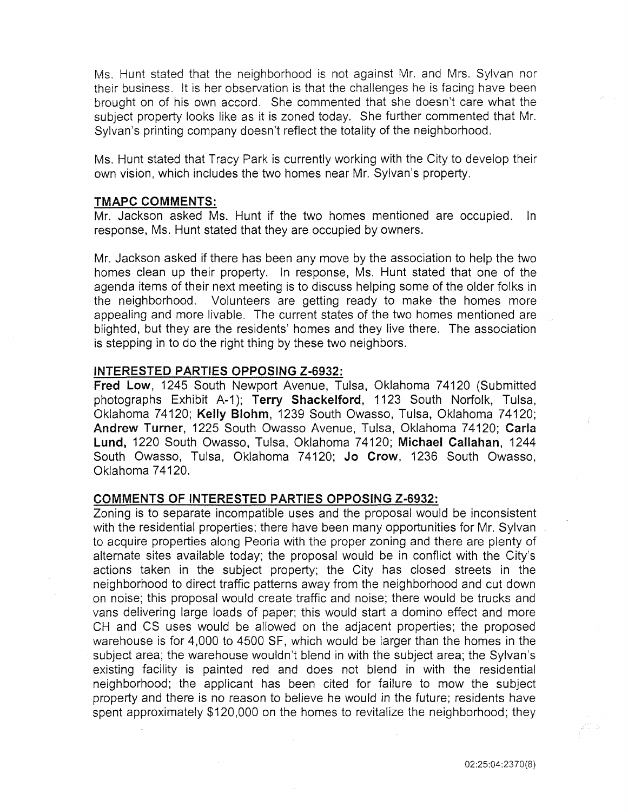Ms. Hunt stated that the neighborhood is not against Mr. and Mrs. Sylvan nor their business. It is her observation is that the challenges he is facing have been brought on of his own accord. She commented that she doesn't care what the subject property looks like as it is zoned today. She further commented that Mr. Sylvan's printing company doesn't reflect the totality of the neighborhood.

Ms. Hunt stated that Tracy Park is currently working with the City to develop their own vision, which includes the two homes near Mr. Sylvan's property.

#### TMAPC COMMENTS:

Mr. Jackson asked Ms. Hunt if the two homes mentioned are occupied. In response, Ms. Hunt stated that they are occupied by owners.

Mr. Jackson asked if there has been any move by the association to help the two homes clean up their property. In response, Ms. Hunt stated that one of the agenda items of their next meeting is to discuss helping some of the older folks in the neighborhood. Volunteers are getting ready to make the homes more appealing and more livable. The current states of the two homes mentioned are blighted, but they are the residents' homes and they live there. The association is stepping in to do the right thing by these two neighbors.

#### INTERESTED PARTIES OPPOSING Z-6932:

Fred Low, 1245 South Newport Avenue, Tulsa, Oklahoma 74120 (Submitted photographs Exhibit A-1); Terry Shackelford, 1123 South Norfolk, Tulsa, Oklahoma 74120; Kelly Blohm, 1239 South Owasso, Tulsa, Oklahoma 74120; Andrew Turner, 1225 South Owasso Avenue, Tulsa, Oklahoma 74120; Carla Lund, 1220 South Owasso, Tulsa, Oklahoma 74120; Michael Callahan, 1244 South Owasso, Tulsa, Oklahoma 74120; Jo Crow, 1236 South Owasso, Oklahoma 74120.

#### COMMENTS OF INTERESTED PARTIES OPPOSING Z-6932:

Zoning is to separate incompatible uses and the proposal would be inconsistent with the residential properties; there have been many opportunities for Mr. Sylvan to acquire properties along Peoria with the proper zoning and there are plenty of alternate sites available today; the proposal would be in conflict with the City's actions taken in the subject property; the City has closed streets in the neighborhood to direct traffic patterns away from the neighborhood and cut down on noise; this proposal would create traffic and noise; there would be trucks and vans delivering large loads of paper; this would start a domino effect and more CH and CS uses would be allowed on the adjacent properties; the proposed warehouse is for 4,000 to 4500 SF, which would be larger than the homes in the subject area; the warehouse wouldn't blend in with the subject area; the Sylvan's existing facility is painted red and does not blend in with the residential neighborhood; the applicant has been cited for failure to mow the subject property and there is no reason to believe he would in the future; residents have spent approximately \$120,000 on the homes to revitalize the neighborhood; they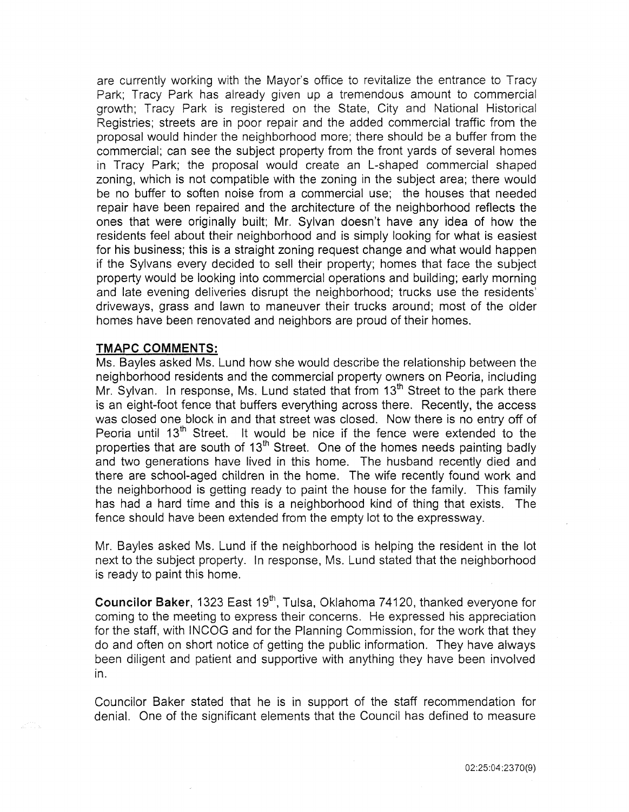are currently working with the Mayor's office to revitalize the entrance to Tracy Park; Tracy Park has already given up a tremendous amount to commercial growth; Tracy Park is registered on the State, City and National Historical Registries; streets are in poor repair and the added commercial traffic from the proposal would hinder the neighborhood more; there should be a buffer from the commercial; can see the subject property from the front yards of several homes in Tracy Park; the proposal would create an L-shaped commercial shaped zoning, which is not compatible with the zoning in the subject area; there would be no buffer to soften noise from a commercial use; the houses that needed repair have been repaired and the architecture of the neighborhood reflects the ones that were originally built; Mr. Sylvan doesn't have any idea of how the residents feel about their neighborhood and is simply looking for what is easiest for his business; this is a straight zoning request change and what would happen if the Sylvans every decided to sell their property; homes that face the subject property would be looking into commercial operations and building; early morning and late evening deliveries disrupt the neighborhood; trucks use the residents' driveways, grass and lawn to maneuver their trucks around; most of the older homes have been renovated and neighbors are proud of their homes.

# **TMAPC COMMENTS:**

Ms. Bayles asked Ms. Lund how she would describe the relationship between the neighborhood residents and the commercial property owners on Peoria, including Mr. Sylvan. In response, Ms. Lund stated that from  $13<sup>th</sup>$  Street to the park there is an eight-foot fence that buffers everything across there. Recently, the access was closed one block in and that street was closed. Now there is no entry off of Peoria until 13<sup>th</sup> Street. It would be nice if the fence were extended to the properties that are south of 13<sup>th</sup> Street. One of the homes needs painting badly and two generations have lived in this home. The husband recently died and there are school-aged children in the home. The wife recently found work and the neighborhood is getting ready to paint the house for the family. This family has had a hard time and this is a neighborhood kind of thing that exists. The fence should have been extended from the empty lot to the expressway.

Mr. Bayles asked Ms. Lund if the neighborhood is helping the resident in the lot next to the subject property. In response, Ms. Lund stated that the neighborhood is ready to paint this home.

Councilor Baker, 1323 East 19<sup>th</sup>, Tulsa, Oklahoma 74120, thanked everyone for coming to the meeting to express their concerns. He expressed his appreciation for the staff, with INCOG and for the Planning Commission, for the work that they do and often on short notice of getting the public information. They have always been diligent and patient and supportive with anything they have been involved in.

Councilor Baker stated that he is in support of the staff recommendation for denial. One of the significant elements that the Council has defined to measure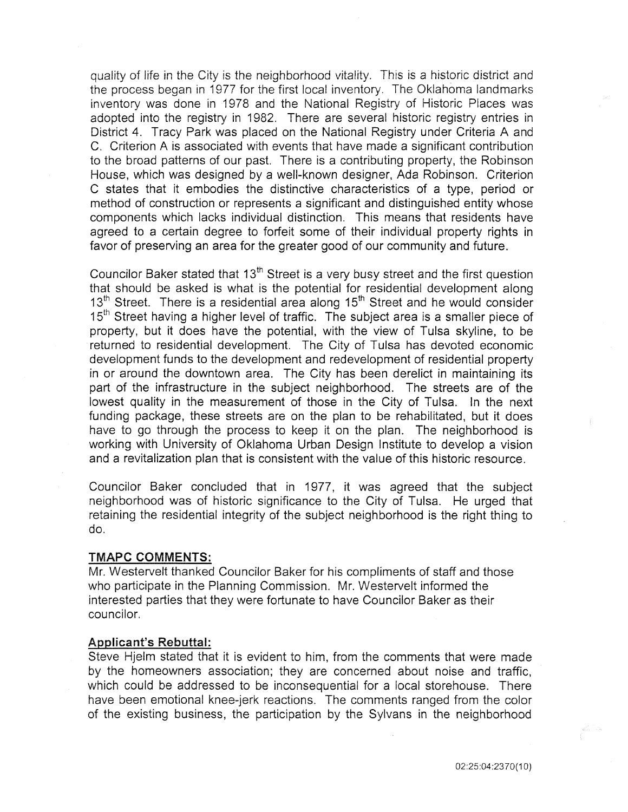quality of life in the City is the neighborhood vitality. This is a historic district and the process began in 1977 for the first local inventory. The Oklahoma landmarks inventory was done in 1978 and the National Registry of Historic Places was adopted into the registry in 1982. There are several historic registry entries in District 4. Tracy Park was placed on the National Registry under Criteria A and C. Criterion A is associated with events that have made a significant contribution to the broad patterns of our past. There is a contributing property, the Robinson House, which was designed by a well-known designer, Ada Robinson. Criterion C states that it embodies the distinctive characteristics of a type, period or method of construction or represents a significant and distinguished entity whose components which lacks individual distinction. This means that residents have agreed to a certain degree to forfeit some of their individual property rights in favor of preserving an area for the greater good of our community and future.

Councilor Baker stated that  $13<sup>th</sup>$  Street is a very busy street and the first question that should be asked is what is the potential for residential development along  $13<sup>th</sup>$  Street. There is a residential area along  $15<sup>th</sup>$  Street and he would consider 15<sup>th</sup> Street having a higher level of traffic. The subject area is a smaller piece of property, but it does have the potential, with the view of Tulsa skyline, to be returned to residential development. The City of Tulsa has devoted economic development funds to the development and redevelopment of residential property in or around the downtown area. The City has been derelict in maintaining its part of the infrastructure in the subject neighborhood. The streets are of the lowest quality in the measurement of those in the City of Tulsa. In the next funding package, these streets are on the plan to be rehabilitated, but it does have to go through the process to keep it on the plan. The neighborhood is working with University of Oklahoma Urban Design Institute to develop a vision and a revitalization plan that is consistent with the value of this historic resource.

Councilor Baker concluded that in 1977, it was agreed that the subject neighborhood was of historic significance to the City of Tulsa. He urged that retaining the residential integrity of the subject neighborhood is the right thing to do.

#### TMAPC COMMENTS:

Mr. Westervelt thanked Councilor Baker for his compliments of staff and those who participate in the Planning Commission. Mr. Westervelt informed the interested parties that they were fortunate to have Councilor Baker as their councilor.

#### Applicant's Rebuttal:

Steve Hjelm stated that it is evident to him, from the comments that were made by the homeowners association; they are concerned about noise and traffic, which could be addressed to be inconsequential for a local storehouse. There have been emotional knee-jerk reactions. The comments ranged from the color of the existing business, the participation by the Sylvans in the neighborhood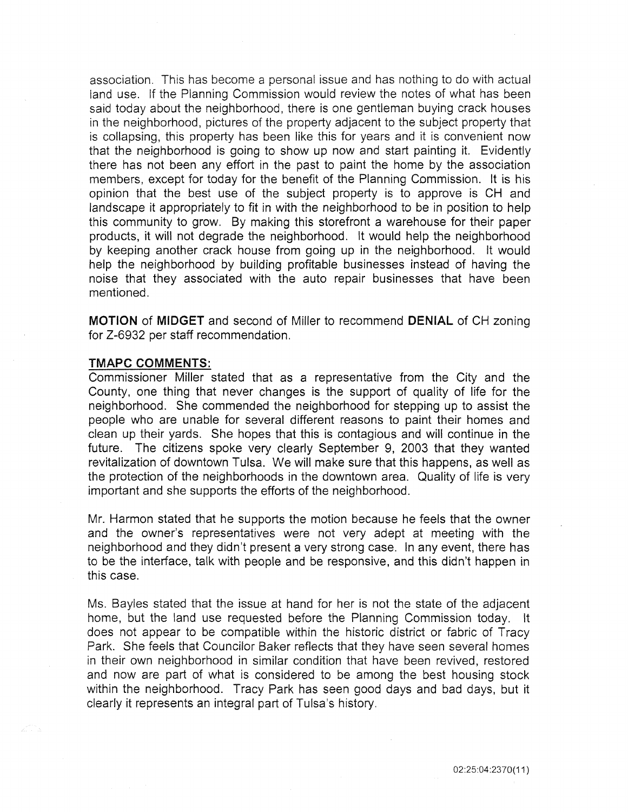association. This has become a personal issue and has nothing to do with actual land use. If the Planning Commission would review the notes of what has been said today about the neighborhood, there is one gentleman buying crack houses in the neighborhood, pictures of the property adjacent to the subject property that is collapsing, this property has been like this for years and it is convenient now that the neighborhood is going to show up now and start painting it. Evidently there has not been any effort in the past to paint the home by the association members, except for today for the benefit of the Planning Commission. It is his opinion that the best use of the subject property is to approve is CH and landscape it appropriately to fit in with the neighborhood to be in position to help this community to grow. By making this storefront a warehouse for their paper products, it will not degrade the neighborhood. It would help the neighborhood by keeping another crack house from going up in the neighborhood. It would help the neighborhood by building profitable businesses instead of having the noise that they associated with the auto repair businesses that have been mentioned.

**MOTION of MIDGET** and second of Miller to recommend **DENIAL** of CH zoning for Z-6932 per staff recommendation.

#### TMAPC COMMENTS:

Commissioner Miller stated that as a representative from the City and the County, one thing that never changes is the support of quality of life for the neighborhood. She commended the neighborhood for stepping up to assist the people who are unable for several different reasons to paint their homes and clean up their yards. She hopes that this is contagious and will continue in the future. The citizens spoke very clearly September 9, 2003 that they wanted revitalization of downtown Tulsa. We will make sure that this happens, as well as the protection of the neighborhoods in the downtown area. Quality of life is very important and she supports the efforts of the neighborhood.

Mr. Harmon stated that he supports the motion because he feels that the owner and the owner's representatives were not very adept at meeting with the neighborhood and they didn't present a very strong case. In any event, there has to be the interface, talk with people and be responsive, and this didn't happen in this case.

Ms. Bayles stated that the issue at hand for her is not the state of the adjacent home, but the land use requested before the Planning Commission today. It does not appear to be compatible within the historic district or fabric of Tracy Park. She feels that Councilor Baker reflects that they have seen several homes in their own neighborhood in similar condition that have been revived, restored and now are part of what is considered to be among the best housing stock within the neighborhood. Tracy Park has seen good days and bad days, but it clearly it represents an integral part of Tulsa's history.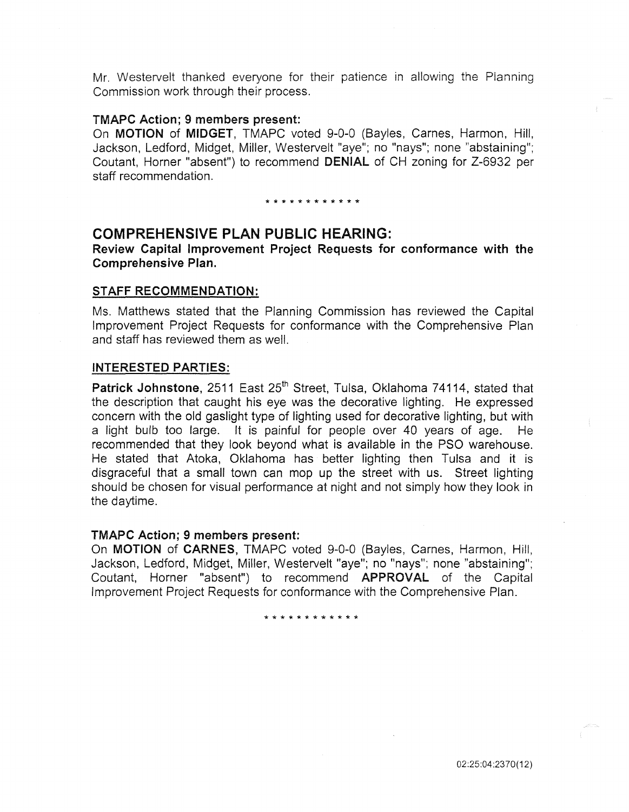Mr. Westervelt thanked everyone for their patience in allowing the Planning Commission work through their process.

#### TMAPC Action; 9 members present:

On MOTION of MIDGET, TMAPC voted 9-0-0 (Bayles, Carnes, Harmon, Hill, Jackson, Ledford, Midget, Miller, Westervelt "aye"; no "nays"; none "abstaining"; Coutant, Horner "absent") to recommend DENIAL of CH zoning for Z-6932 per staff recommendation.

\* \* \* \* \* \* \* \* \* \* \* \*

# COMPREHENSIVE PLAN PUBLIC HEARING:

Review Capital Improvement Project Requests for conformance with the Comprehensive Plan.

#### STAFF RECOMMENDATION:

Ms. Matthews stated that the Planning Commission has reviewed the Capital Improvement Project Requests for conformance with the Comprehensive Plan and staff has reviewed them as well.

#### INTERESTED PARTIES:

Patrick Johnstone, 2511 East 25<sup>th</sup> Street, Tulsa, Oklahoma 74114, stated that the description that caught his eye was the decorative lighting. He expressed concern with the old gaslight type of lighting used for decorative lighting, but with a light bulb too large. It is painful for people over 40 years of age. recommended that they look beyond what is available in the PSO warehouse. He stated that Atoka, Oklahoma has better lighting then Tulsa and it is disgraceful that a small town can mop up the street with us. Street lighting should be chosen for visual performance at night and not simply how they look in the daytime.

#### TMAPC Action; 9 members present:

On MOTION of CARNES, TMAPC voted 9-0-0 (Bayles, Carnes, Harmon, Hill, Jackson, Ledford, Midget, Miller, Westervelt "aye"; no "nays"; none "abstaining"; Coutant, Horner "absent") to recommend APPROVAL of the Capital Improvement Project Requests for conformance with the Comprehensive Plan.

\* \* \* \* \* \* \* \* \* \* \* \*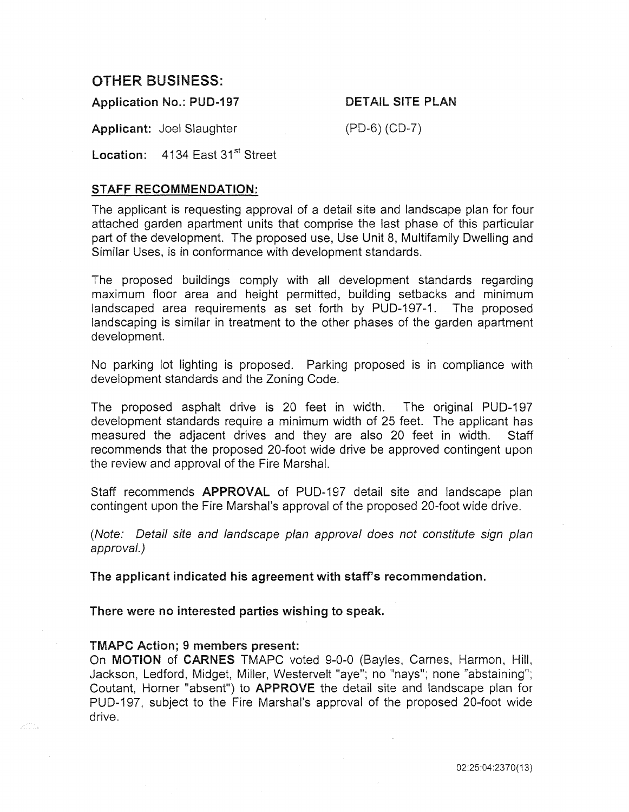# OTHER BUSINESS:

Application No.: PUD-197

DETAIL SITE PLAN

Applicant: Joel Slaughter

(PD-6) (CD-7)

Location: 4134 East 31<sup>st</sup> Street

### STAFF RECOMMENDATION:

The applicant is requesting approval of a detail site and landscape plan for four attached garden apartment units that comprise the last phase of this particular part of the development. The proposed use, Use Unit 8, Multifamily Dwelling and Similar Uses, is in conformance with development standards.

The proposed buildings comply with all development standards regarding maximum floor area and height permitted, building setbacks and minimum landscaped area requirements as set forth by PUD-197-1. The proposed landscaping is similar in treatment to the other phases of the garden apartment development.

No parking lot lighting is proposed. Parking proposed is in compliance with development standards and the Zoning Code.

The proposed asphalt drive is 20 feet in width. The original PUD-197 development standards require a minimum width of 25 feet. The applicant has measured the adjacent drives and they are also 20 feet in width. Staff recommends that the proposed 20-foot wide drive be approved contingent upon the review and approval of the Fire Marshal.

Staff recommends APPROVAL of PUD-197 detail site and landscape plan contingent upon the Fire Marshal's approval of the proposed 20-foot wide drive.

(Note: Detail site and landscape plan approval does not constitute sign plan approval.)

The applicant indicated his agreement with staff's recommendation.

There were no interested parties wishing to speak.

#### TMAPC Action; 9 members present:

On MOTION of CARNES TMAPC voted 9-0-0 (Bayles, Carnes, Harmon, Hill, Jackson, Ledford, Midget, Miller, Westervelt "aye"; no "nays"; none "abstaining"; Coutant, Horner "absent") to APPROVE the detail site and landscape plan for PUD-197, subject to the Fire Marshal's approval of the proposed 20-foot wide drive.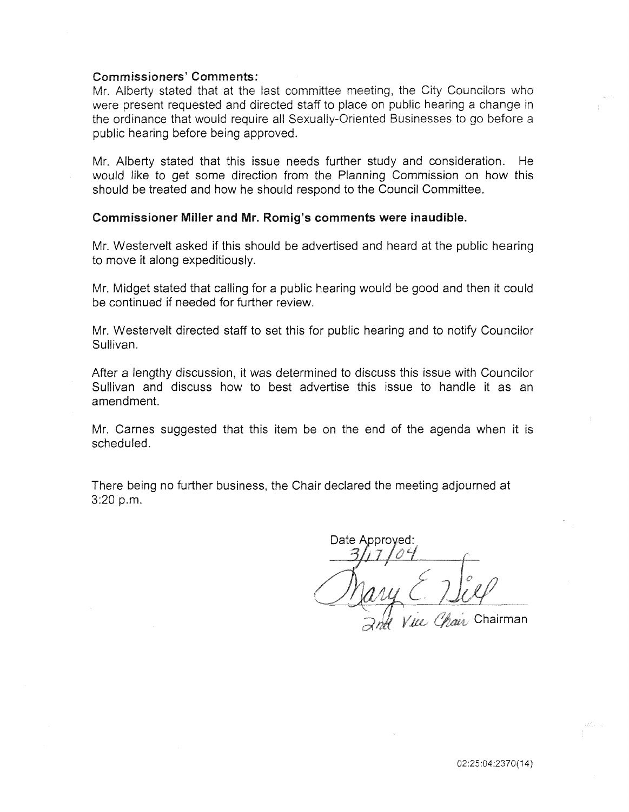### Commissioners' Comments:

Mr. Alberty stated that at the last committee meeting, the City Councilors who were present requested and directed staff to place on public hearing a change in the ordinance that would require all Sexually-Oriented Businesses to go before a public hearing before being approved.

Mr. Alberty stated that this issue needs further study and consideration. He would like to get some direction from the Planning Commission on how this should be treated and how he should respond to the Council Committee.

#### Commissioner Miller and Mr. Romig's comments were inaudible.

Mr. Westervelt asked if this should be advertised and heard at the public hearing to move it along expeditiously.

Mr. Midget stated that calling for a public hearing would be good and then it could be continued if needed for further review.

Mr. Westervelt directed staff to set this for public hearing and to notify Councilor Sullivan.

After a lengthy discussion, it was determined to discuss this issue with Councilor Sullivan and discuss how to best advertise this issue to handle it as an amendment.

Mr. Carnes suggested that this item be on the end of the agenda when it is scheduled.

There being no further business, the Chair declared the meeting adjourned at  $3:20 p.m.$ 

Date Approved: Lee Chair Chairman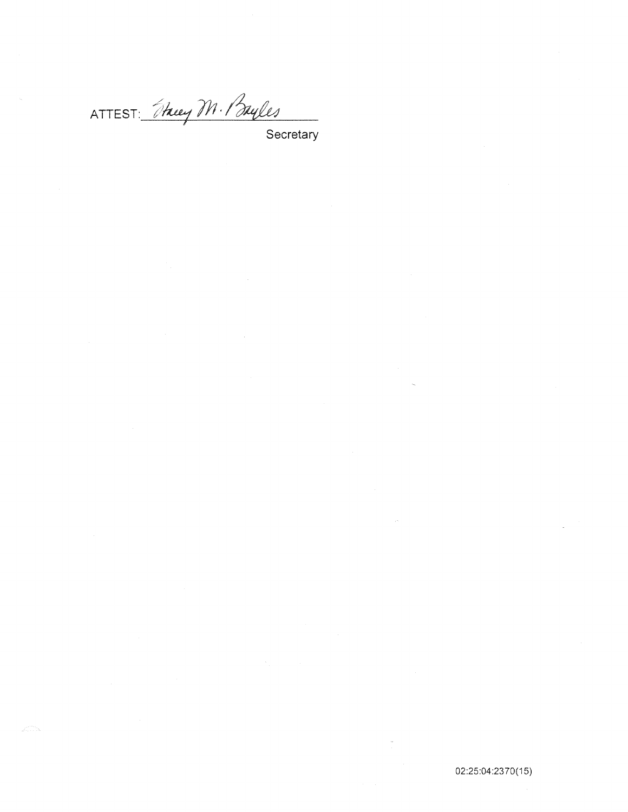ATTEST: They M. Buyles<br>Secretary